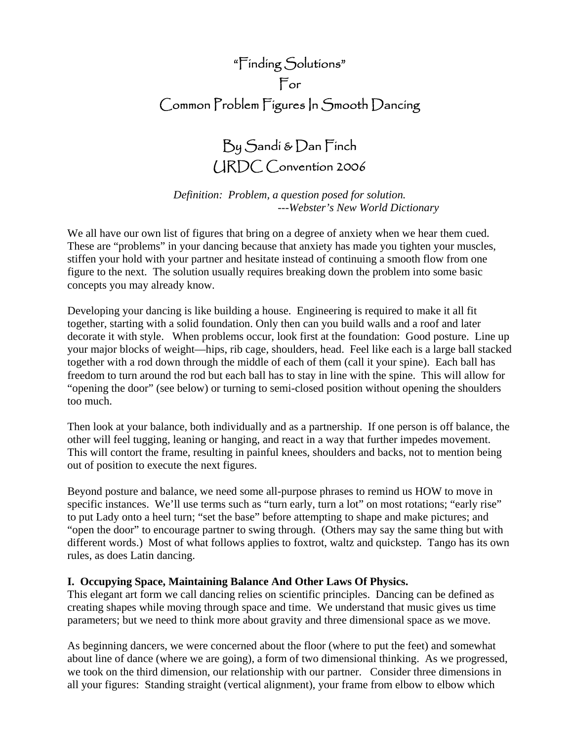# "Finding Solutions" For Common Problem Figures In Smooth Dancing

By Sandi & Dan Finch URDC Convention 2006

*Definition: Problem, a question posed for solution. ---Webster's New World Dictionary* 

We all have our own list of figures that bring on a degree of anxiety when we hear them cued. These are "problems" in your dancing because that anxiety has made you tighten your muscles, stiffen your hold with your partner and hesitate instead of continuing a smooth flow from one figure to the next. The solution usually requires breaking down the problem into some basic concepts you may already know.

Developing your dancing is like building a house. Engineering is required to make it all fit together, starting with a solid foundation. Only then can you build walls and a roof and later decorate it with style. When problems occur, look first at the foundation: Good posture. Line up your major blocks of weight—hips, rib cage, shoulders, head. Feel like each is a large ball stacked together with a rod down through the middle of each of them (call it your spine). Each ball has freedom to turn around the rod but each ball has to stay in line with the spine. This will allow for "opening the door" (see below) or turning to semi-closed position without opening the shoulders too much.

Then look at your balance, both individually and as a partnership. If one person is off balance, the other will feel tugging, leaning or hanging, and react in a way that further impedes movement. This will contort the frame, resulting in painful knees, shoulders and backs, not to mention being out of position to execute the next figures.

Beyond posture and balance, we need some all-purpose phrases to remind us HOW to move in specific instances. We'll use terms such as "turn early, turn a lot" on most rotations; "early rise" to put Lady onto a heel turn; "set the base" before attempting to shape and make pictures; and "open the door" to encourage partner to swing through. (Others may say the same thing but with different words.) Most of what follows applies to foxtrot, waltz and quickstep. Tango has its own rules, as does Latin dancing.

## **I. Occupying Space, Maintaining Balance And Other Laws Of Physics.**

This elegant art form we call dancing relies on scientific principles. Dancing can be defined as creating shapes while moving through space and time. We understand that music gives us time parameters; but we need to think more about gravity and three dimensional space as we move.

As beginning dancers, we were concerned about the floor (where to put the feet) and somewhat about line of dance (where we are going), a form of two dimensional thinking. As we progressed, we took on the third dimension, our relationship with our partner. Consider three dimensions in all your figures: Standing straight (vertical alignment), your frame from elbow to elbow which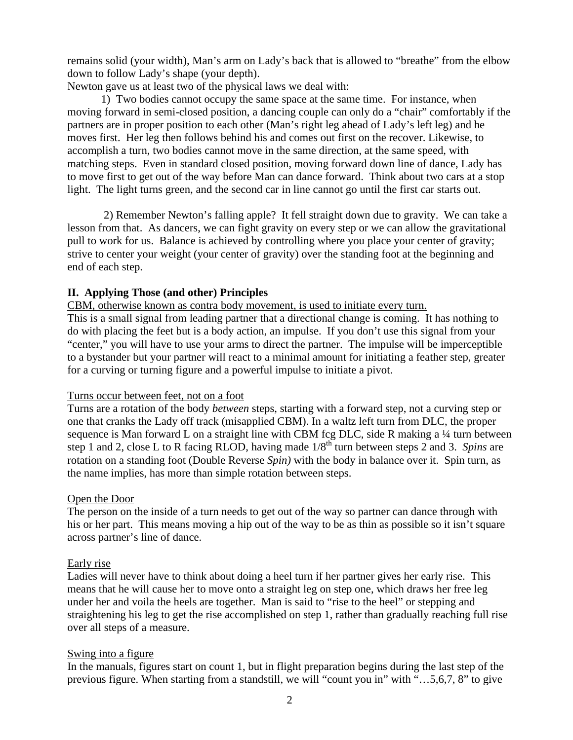remains solid (your width), Man's arm on Lady's back that is allowed to "breathe" from the elbow down to follow Lady's shape (your depth).

Newton gave us at least two of the physical laws we deal with:

 1) Two bodies cannot occupy the same space at the same time. For instance, when moving forward in semi-closed position, a dancing couple can only do a "chair" comfortably if the partners are in proper position to each other (Man's right leg ahead of Lady's left leg) and he moves first. Her leg then follows behind his and comes out first on the recover. Likewise, to accomplish a turn, two bodies cannot move in the same direction, at the same speed, with matching steps. Even in standard closed position, moving forward down line of dance, Lady has to move first to get out of the way before Man can dance forward. Think about two cars at a stop light. The light turns green, and the second car in line cannot go until the first car starts out.

 2) Remember Newton's falling apple? It fell straight down due to gravity. We can take a lesson from that. As dancers, we can fight gravity on every step or we can allow the gravitational pull to work for us. Balance is achieved by controlling where you place your center of gravity; strive to center your weight (your center of gravity) over the standing foot at the beginning and end of each step.

## **II. Applying Those (and other) Principles**

CBM, otherwise known as contra body movement, is used to initiate every turn.

This is a small signal from leading partner that a directional change is coming. It has nothing to do with placing the feet but is a body action, an impulse. If you don't use this signal from your "center," you will have to use your arms to direct the partner. The impulse will be imperceptible to a bystander but your partner will react to a minimal amount for initiating a feather step, greater for a curving or turning figure and a powerful impulse to initiate a pivot.

#### Turns occur between feet, not on a foot

Turns are a rotation of the body *between* steps, starting with a forward step, not a curving step or one that cranks the Lady off track (misapplied CBM). In a waltz left turn from DLC, the proper sequence is Man forward L on a straight line with CBM fcg DLC, side R making a 1/4 turn between step 1 and 2, close L to R facing RLOD, having made 1/8th turn between steps 2 and 3. *Spins* are rotation on a standing foot (Double Reverse *Spin)* with the body in balance over it. Spin turn, as the name implies, has more than simple rotation between steps.

#### Open the Door

The person on the inside of a turn needs to get out of the way so partner can dance through with his or her part. This means moving a hip out of the way to be as thin as possible so it isn't square across partner's line of dance.

#### Early rise

Ladies will never have to think about doing a heel turn if her partner gives her early rise. This means that he will cause her to move onto a straight leg on step one, which draws her free leg under her and voila the heels are together. Man is said to "rise to the heel" or stepping and straightening his leg to get the rise accomplished on step 1, rather than gradually reaching full rise over all steps of a measure.

#### Swing into a figure

In the manuals, figures start on count 1, but in flight preparation begins during the last step of the previous figure. When starting from a standstill, we will "count you in" with "…5,6,7, 8" to give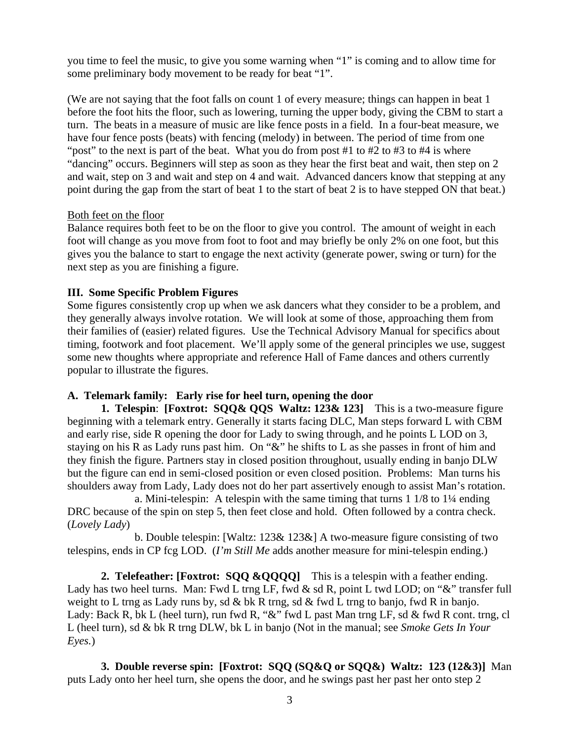you time to feel the music, to give you some warning when "1" is coming and to allow time for some preliminary body movement to be ready for beat "1".

(We are not saying that the foot falls on count 1 of every measure; things can happen in beat 1 before the foot hits the floor, such as lowering, turning the upper body, giving the CBM to start a turn. The beats in a measure of music are like fence posts in a field. In a four-beat measure, we have four fence posts (beats) with fencing (melody) in between. The period of time from one "post" to the next is part of the beat. What you do from post #1 to #2 to #3 to #4 is where "dancing" occurs. Beginners will step as soon as they hear the first beat and wait, then step on 2 and wait, step on 3 and wait and step on 4 and wait. Advanced dancers know that stepping at any point during the gap from the start of beat 1 to the start of beat 2 is to have stepped ON that beat.)

#### Both feet on the floor

Balance requires both feet to be on the floor to give you control. The amount of weight in each foot will change as you move from foot to foot and may briefly be only 2% on one foot, but this gives you the balance to start to engage the next activity (generate power, swing or turn) for the next step as you are finishing a figure.

#### **III. Some Specific Problem Figures**

Some figures consistently crop up when we ask dancers what they consider to be a problem, and they generally always involve rotation. We will look at some of those, approaching them from their families of (easier) related figures. Use the Technical Advisory Manual for specifics about timing, footwork and foot placement. We'll apply some of the general principles we use, suggest some new thoughts where appropriate and reference Hall of Fame dances and others currently popular to illustrate the figures.

#### **A. Telemark family: Early rise for heel turn, opening the door**

 **1. Telespin**: **[Foxtrot: SQQ& QQS Waltz: 123& 123]** This is a two-measure figure beginning with a telemark entry. Generally it starts facing DLC, Man steps forward L with CBM and early rise, side R opening the door for Lady to swing through, and he points L LOD on 3, staying on his R as Lady runs past him. On "&" he shifts to L as she passes in front of him and they finish the figure. Partners stay in closed position throughout, usually ending in banjo DLW but the figure can end in semi-closed position or even closed position. Problems: Man turns his shoulders away from Lady, Lady does not do her part assertively enough to assist Man's rotation.

 a. Mini-telespin: A telespin with the same timing that turns 1 1/8 to 1¼ ending DRC because of the spin on step 5, then feet close and hold. Often followed by a contra check. (*Lovely Lady*)

 b. Double telespin: [Waltz: 123& 123&] A two-measure figure consisting of two telespins, ends in CP fcg LOD. (*I'm Still Me* adds another measure for mini-telespin ending.)

2. Telefeather: [Foxtrot: SQQ &QQQQ] This is a telespin with a feather ending. Lady has two heel turns. Man: Fwd L trng LF, fwd & sd R, point L twd LOD; on "&" transfer full weight to L trng as Lady runs by, sd & bk R trng, sd & fwd L trng to banjo, fwd R in banjo. Lady: Back R, bk L (heel turn), run fwd R, "&" fwd L past Man trng LF, sd & fwd R cont. trng, cl L (heel turn), sd & bk R trng DLW, bk L in banjo (Not in the manual; see *Smoke Gets In Your Eyes.*)

**3. Double reverse spin: [Foxtrot: SQQ (SQ&Q or SQQ&) Waltz: 123 (12&3)]** Man puts Lady onto her heel turn, she opens the door, and he swings past her past her onto step 2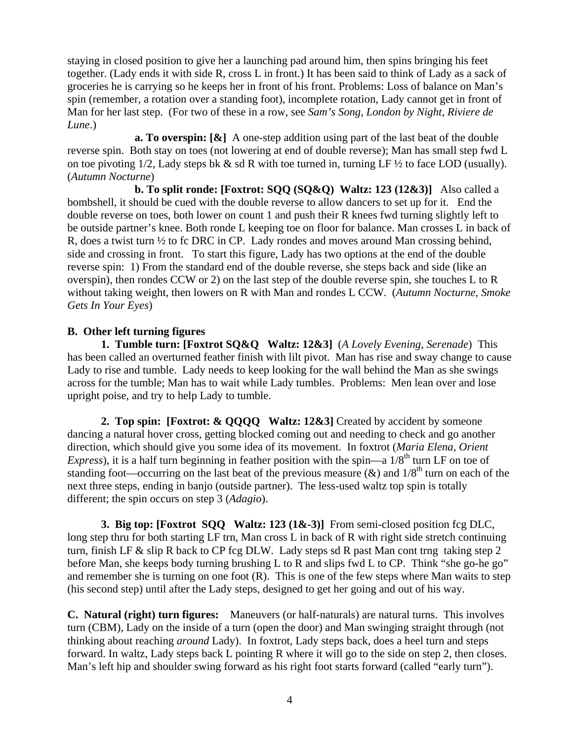staying in closed position to give her a launching pad around him, then spins bringing his feet together. (Lady ends it with side R, cross L in front.) It has been said to think of Lady as a sack of groceries he is carrying so he keeps her in front of his front. Problems: Loss of balance on Man's spin (remember, a rotation over a standing foot), incomplete rotation, Lady cannot get in front of Man for her last step. (For two of these in a row, see *Sam's Song*, *London by Night*, *Riviere de Lune*.)

**a. To overspin:** [ $\&$ ] A one-step addition using part of the last beat of the double reverse spin. Both stay on toes (not lowering at end of double reverse); Man has small step fwd L on toe pivoting  $1/2$ , Lady steps bk & sd R with toe turned in, turning LF  $\frac{1}{2}$  to face LOD (usually). (*Autumn Nocturne*)

 **b. To split ronde: [Foxtrot: SQQ (SQ&Q) Waltz: 123 (12&3)]** Also called a bombshell, it should be cued with the double reverse to allow dancers to set up for it. End the double reverse on toes, both lower on count 1 and push their R knees fwd turning slightly left to be outside partner's knee. Both ronde L keeping toe on floor for balance. Man crosses L in back of R, does a twist turn ½ to fc DRC in CP. Lady rondes and moves around Man crossing behind, side and crossing in front. To start this figure, Lady has two options at the end of the double reverse spin: 1) From the standard end of the double reverse, she steps back and side (like an overspin), then rondes CCW or 2) on the last step of the double reverse spin, she touches L to R without taking weight, then lowers on R with Man and rondes L CCW. (*Autumn Nocturne, Smoke Gets In Your Eyes*)

# **B. Other left turning figures**

 **1. Tumble turn: [Foxtrot SQ&Q Waltz: 12&3]** (*A Lovely Evening, Serenade*) This has been called an overturned feather finish with lilt pivot. Man has rise and sway change to cause Lady to rise and tumble. Lady needs to keep looking for the wall behind the Man as she swings across for the tumble; Man has to wait while Lady tumbles. Problems: Men lean over and lose upright poise, and try to help Lady to tumble.

 **2. Top spin: [Foxtrot: & QQQQ Waltz: 12&3]** Created by accident by someone dancing a natural hover cross, getting blocked coming out and needing to check and go another direction, which should give you some idea of its movement. In foxtrot (*Maria Elena, Orient Express*), it is a half turn beginning in feather position with the spin—a  $1/8^{th}$  turn LF on toe of standing foot—occurring on the last beat of the previous measure ( $\&$ ) and  $1/8^{th}$  turn on each of the next three steps, ending in banjo (outside partner). The less-used waltz top spin is totally different; the spin occurs on step 3 (*Adagio*).

**3. Big top: [Foxtrot SQQ Waltz: 123 (1&-3)]** From semi-closed position fcg DLC, long step thru for both starting LF trn, Man cross L in back of R with right side stretch continuing turn, finish LF & slip R back to CP fcg DLW. Lady steps sd R past Man cont trng taking step 2 before Man, she keeps body turning brushing L to R and slips fwd L to CP. Think "she go-he go" and remember she is turning on one foot (R). This is one of the few steps where Man waits to step (his second step) until after the Lady steps, designed to get her going and out of his way.

**C. Natural (right) turn figures:** Maneuvers (or half-naturals) are natural turns. This involves turn (CBM), Lady on the inside of a turn (open the door) and Man swinging straight through (not thinking about reaching *around* Lady). In foxtrot, Lady steps back, does a heel turn and steps forward. In waltz, Lady steps back L pointing R where it will go to the side on step 2, then closes. Man's left hip and shoulder swing forward as his right foot starts forward (called "early turn").